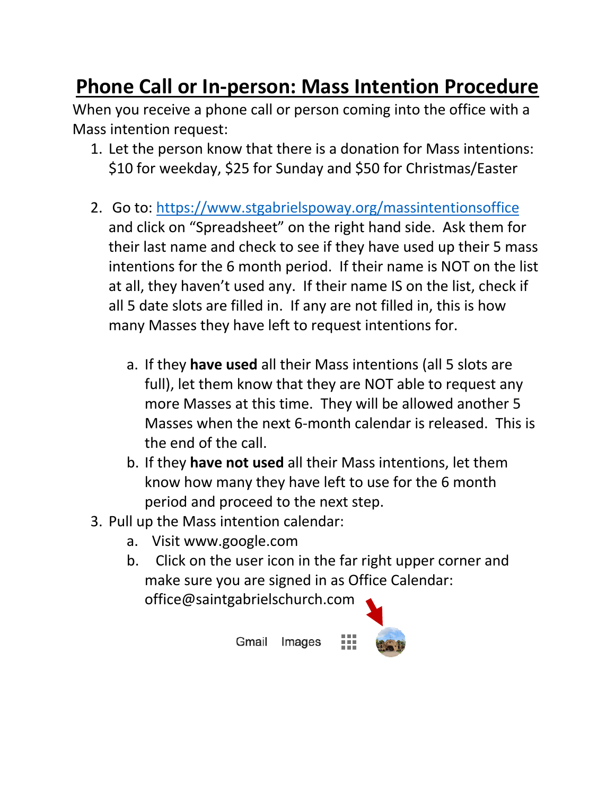## **Phone Call or In-person: Mass Intention Procedure**

When you receive a phone call or person coming into the office with a Mass intention request:

- 1. Let the person know that there is a donation for Mass intentions: \$10 for weekday, \$25 for Sunday and \$50 for Christmas/Easter
- 2. Go to: https://www.stgabrielspoway.org/massintentionsoffice and click on "Spreadsheet" on the right hand side. Ask them for their last name and check to see if they have used up their 5 mass intentions for the 6 month period. If their name is NOT on the list at all, they haven't used any. If their name IS on the list, check if all 5 date slots are filled in. If any are not filled in, this is how many Masses they have left to request intentions for.
	- a. If they **have used** all their Mass intentions (all 5 slots are full), let them know that they are NOT able to request any more Masses at this time. They will be allowed another 5 Masses when the next 6-month calendar is released. This is the end of the call.
	- b. If they **have not used** all their Mass intentions, let them know how many they have left to use for the 6 month period and proceed to the next step.
- 3. Pull up the Mass intention calendar:
	- a. Visit www.google.com
	- b. Click on the user icon in the far right upper corner and make sure you are signed in as Office Calendar:

Images

office@saintgabrielschurch.com

Gmail

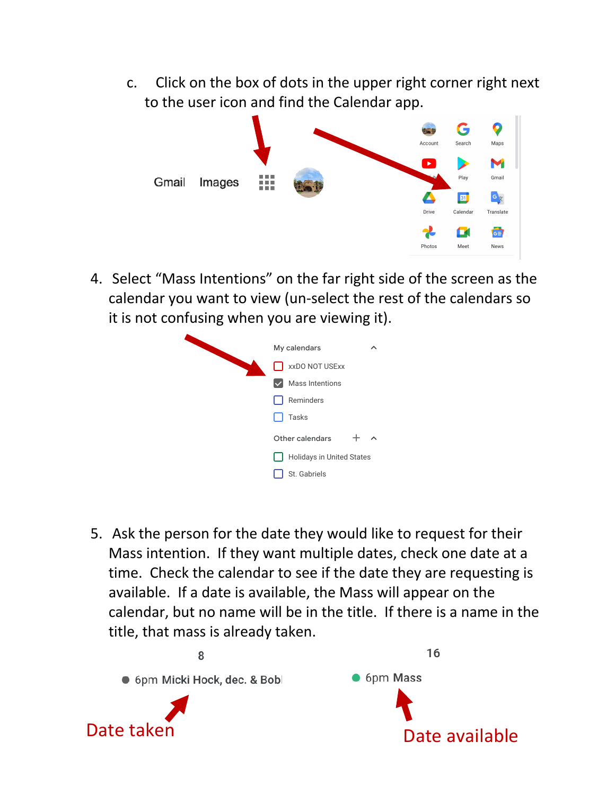c. Click on the box of dots in the upper right corner right next to the user icon and find the Calendar app.



4. Select "Mass Intentions" on the far right side of the screen as the calendar you want to view (un-select the rest of the calendars so it is not confusing when you are viewing it).

| My calendars<br>ᄉ         |
|---------------------------|
| xxDO NOT USExx            |
| <b>Mass Intentions</b>    |
| Reminders                 |
| Tasks                     |
| Other calendars<br>ㅅ      |
| Holidays in United States |
| St. Gabriels              |
|                           |

5. Ask the person for the date they would like to request for their Mass intention. If they want multiple dates, check one date at a time. Check the calendar to see if the date they are requesting is available. If a date is available, the Mass will appear on the calendar, but no name will be in the title. If there is a name in the title, that mass is already taken.

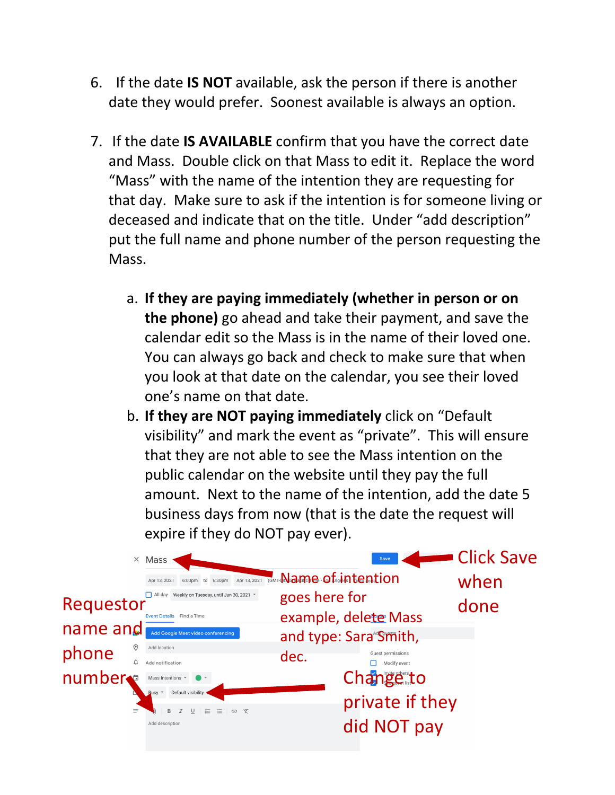- 6. If the date **IS NOT** available, ask the person if there is another date they would prefer. Soonest available is always an option.
- 7. If the date **IS AVAILABLE** confirm that you have the correct date and Mass. Double click on that Mass to edit it. Replace the word "Mass" with the name of the intention they are requesting for that day. Make sure to ask if the intention is for someone living or deceased and indicate that on the title. Under "add description" put the full name and phone number of the person requesting the Mass.
	- a. **If they are paying immediately (whether in person or on the phone)** go ahead and take their payment, and save the calendar edit so the Mass is in the name of their loved one. You can always go back and check to make sure that when you look at that date on the calendar, you see their loved one's name on that date.
	- b. **If they are NOT paying immediately** click on "Default visibility" and mark the event as "private". This will ensure that they are not able to see the Mass intention on the public calendar on the website until they pay the full amount. Next to the name of the intention, add the date 5 business days from now (that is the date the request will expire if they do NOT pay ever).